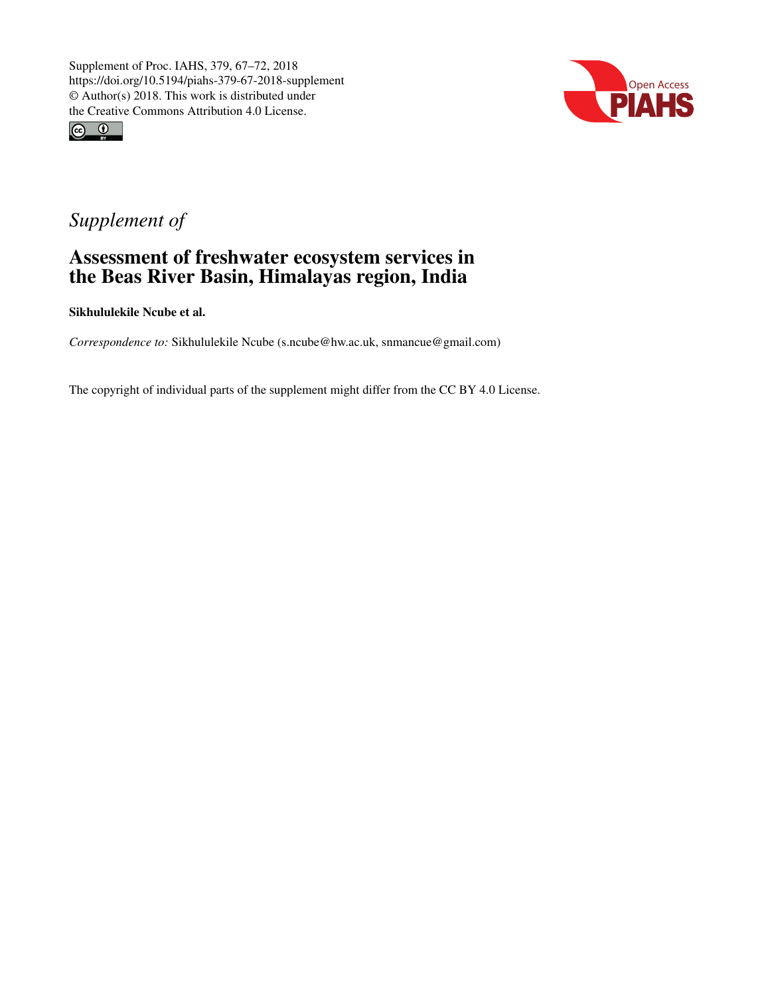



## *Supplement of*

## Assessment of freshwater ecosystem services in the Beas River Basin, Himalayas region, India

Sikhululekile Ncube et al.

*Correspondence to:* Sikhululekile Ncube (s.ncube@hw.ac.uk, snmancue@gmail.com)

The copyright of individual parts of the supplement might differ from the CC BY 4.0 License.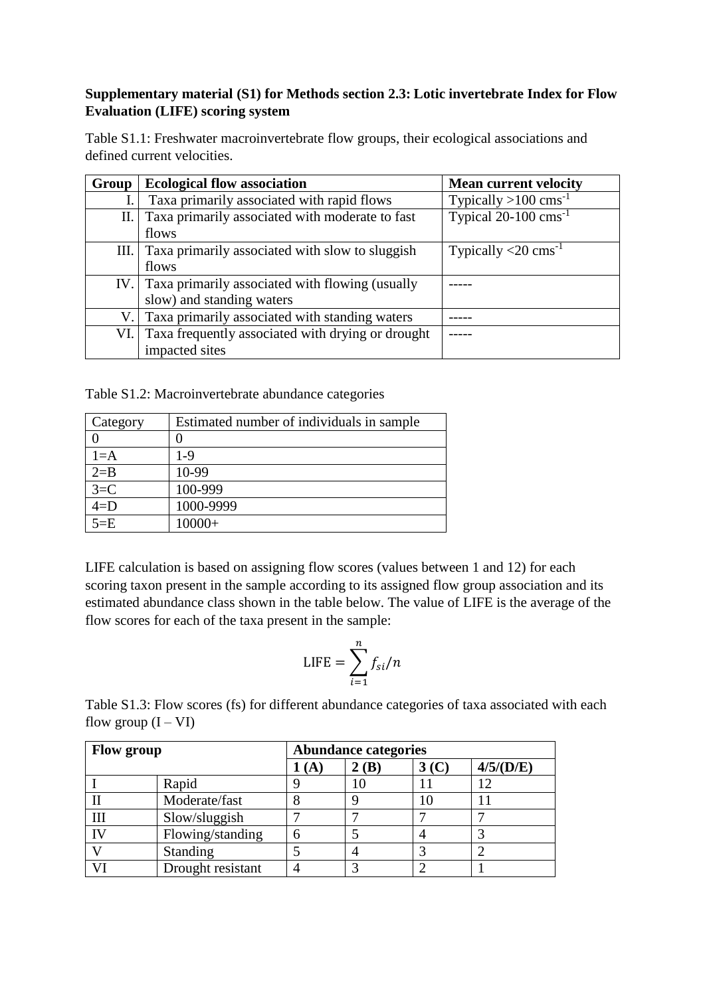## **Supplementary material (S1) for Methods section 2.3: Lotic invertebrate Index for Flow Evaluation (LIFE) scoring system**

Table S1.1: Freshwater macroinvertebrate flow groups, their ecological associations and defined current velocities.

| Group | <b>Ecological flow association</b>                  | <b>Mean current velocity</b>                    |
|-------|-----------------------------------------------------|-------------------------------------------------|
|       | Taxa primarily associated with rapid flows          | Typically $>100$ cms <sup>-1</sup>              |
| П.    | Taxa primarily associated with moderate to fast     | Typical $20-100$ cms <sup>-1</sup>              |
|       | flows                                               |                                                 |
| III.  | Taxa primarily associated with slow to sluggish     | Typically $\langle 20 \text{ cm} \text{s}^{-1}$ |
|       | flows                                               |                                                 |
|       | IV. Taxa primarily associated with flowing (usually |                                                 |
|       | slow) and standing waters                           |                                                 |
| V.I   | Taxa primarily associated with standing waters      |                                                 |
| VI.   | Taxa frequently associated with drying or drought   |                                                 |
|       | impacted sites                                      |                                                 |

Table S1.2: Macroinvertebrate abundance categories

| Category | Estimated number of individuals in sample. |
|----------|--------------------------------------------|
|          |                                            |
| $1 = A$  | 1-9                                        |
| $2 = B$  | 10-99                                      |
| $3=C$    | 100-999                                    |
| $4=D$    | 1000-9999                                  |
| $5 = E$  | $10000+$                                   |

LIFE calculation is based on assigning flow scores (values between 1 and 12) for each scoring taxon present in the sample according to its assigned flow group association and its estimated abundance class shown in the table below. The value of LIFE is the average of the flow scores for each of the taxa present in the sample:

$$
LIFE = \sum_{i=1}^{n} f_{si}/n
$$

Table S1.3: Flow scores (fs) for different abundance categories of taxa associated with each flow group  $(I - VI)$ 

| <b>Flow group</b> |                   | <b>Abundance categories</b> |              |                  |           |  |  |
|-------------------|-------------------|-----------------------------|--------------|------------------|-----------|--|--|
|                   |                   | (A)                         | $\angle$ (B) | 3 <sub>(C)</sub> | 4/5/(D/E) |  |  |
|                   | Rapid             |                             |              |                  | 12        |  |  |
|                   | Moderate/fast     |                             |              | 10               |           |  |  |
| III               | Slow/sluggish     |                             |              |                  |           |  |  |
| IV                | Flowing/standing  |                             |              |                  |           |  |  |
|                   | <b>Standing</b>   |                             |              |                  |           |  |  |
|                   | Drought resistant |                             |              |                  |           |  |  |